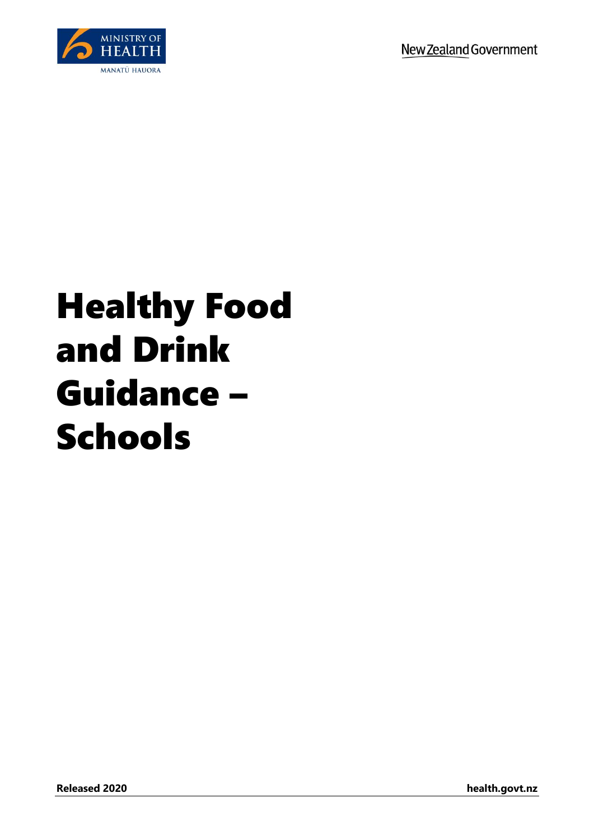

## Healthy Food and Drink Guidance – Schools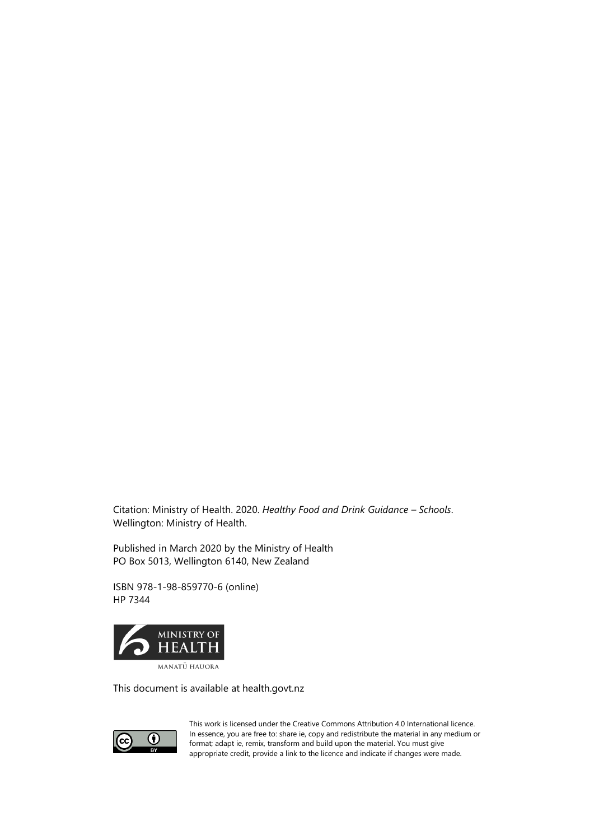Citation: Ministry of Health. 2020. *Healthy Food and Drink Guidance – Schools*. Wellington: Ministry of Health.

Published in March 2020 by the Ministry of Health PO Box 5013, Wellington 6140, New Zealand

ISBN 978-1-98-859770-6 (online) HP 7344



This document is available at health.govt.nz



This work is licensed under the Creative Commons Attribution 4.0 International licence. In essence, you are free to: share ie, copy and redistribute the material in any medium or format; adapt ie, remix, transform and build upon the material. You must give appropriate credit, provide a link to the licence and indicate if changes were made.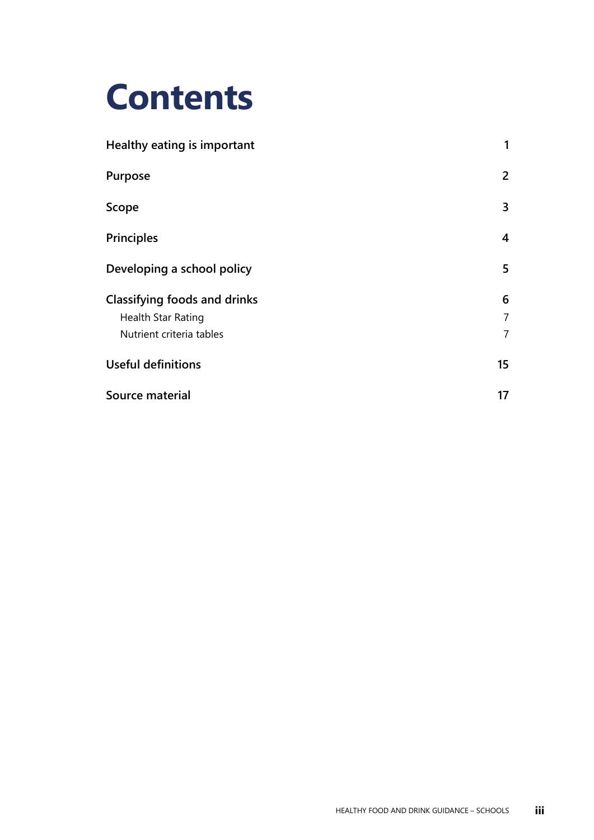## **Contents**

| 1                       |
|-------------------------|
| $\overline{2}$          |
| 3                       |
| $\overline{\mathbf{4}}$ |
| 5                       |
| 6                       |
| $\overline{7}$          |
| $\overline{7}$          |
| 15                      |
| 17                      |
|                         |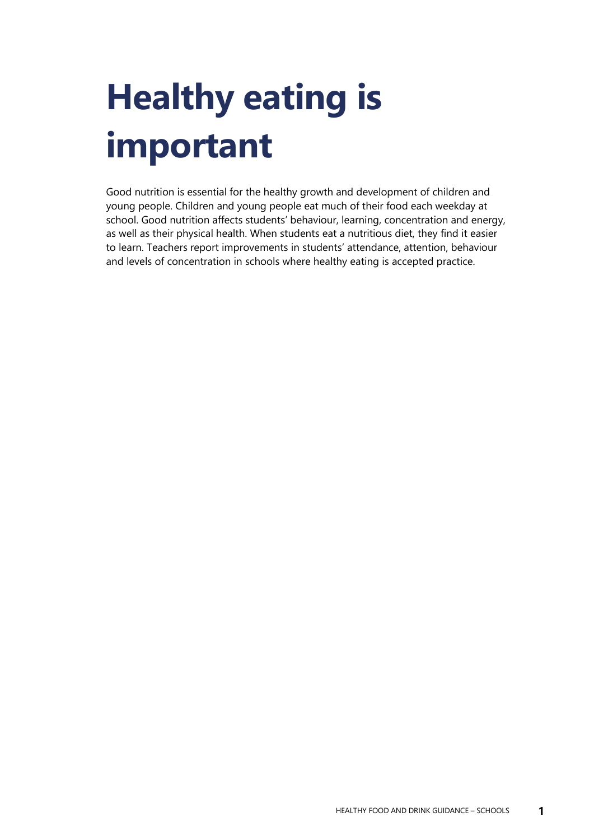# <span id="page-4-0"></span>**Healthy eating is important**

Good nutrition is essential for the healthy growth and development of children and young people. Children and young people eat much of their food each weekday at school. Good nutrition affects students' behaviour, learning, concentration and energy, as well as their physical health. When students eat a nutritious diet, they find it easier to learn. Teachers report improvements in students' attendance, attention, behaviour and levels of concentration in schools where healthy eating is accepted practice.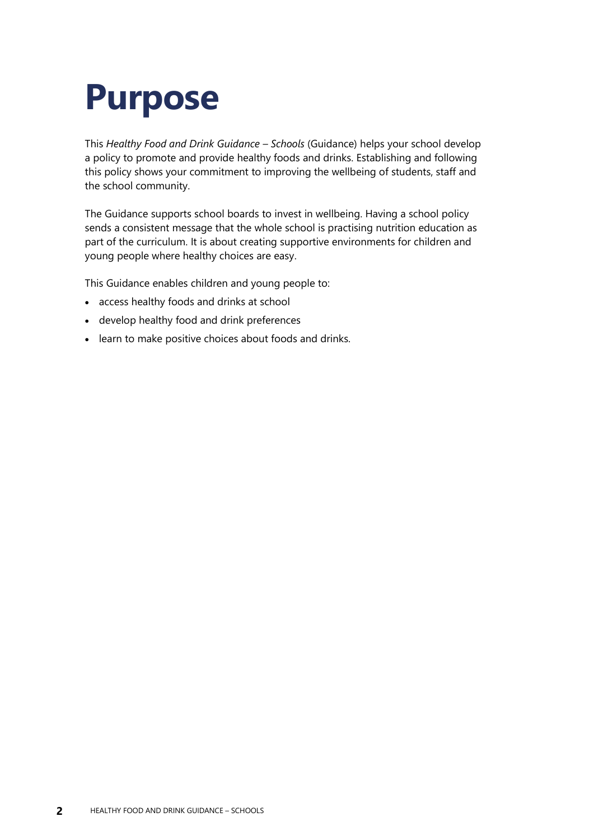## <span id="page-5-0"></span>**Purpose**

This *Healthy Food and Drink Guidance – Schools* (Guidance) helps your school develop a policy to promote and provide healthy foods and drinks. Establishing and following this policy shows your commitment to improving the wellbeing of students, staff and the school community.

The Guidance supports school boards to invest in wellbeing. Having a school policy sends a consistent message that the whole school is practising nutrition education as part of the curriculum. It is about creating supportive environments for children and young people where healthy choices are easy.

This Guidance enables children and young people to:

- access healthy foods and drinks at school
- develop healthy food and drink preferences
- learn to make positive choices about foods and drinks.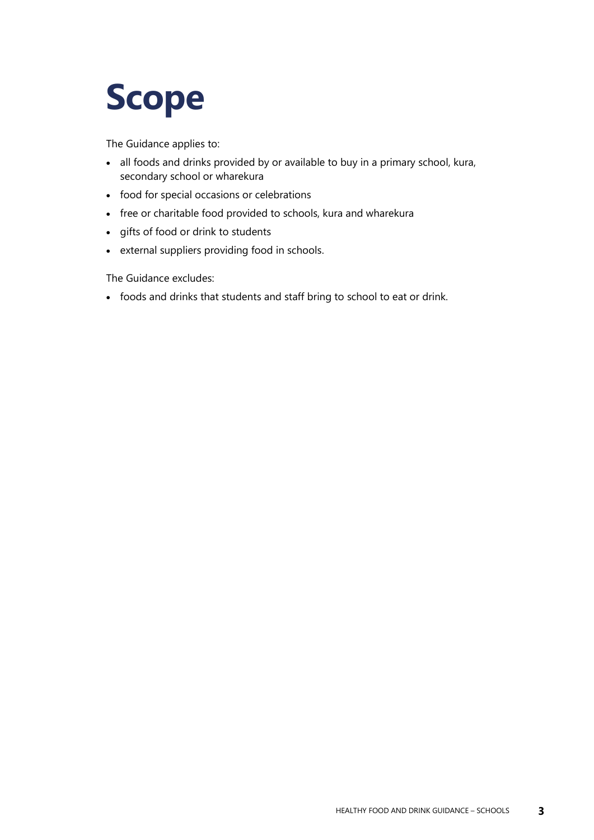## <span id="page-6-0"></span>**Scope**

The Guidance applies to:

- all foods and drinks provided by or available to buy in a primary school, kura, secondary school or wharekura
- food for special occasions or celebrations
- free or charitable food provided to schools, kura and wharekura
- gifts of food or drink to students
- external suppliers providing food in schools.

The Guidance excludes:

• foods and drinks that students and staff bring to school to eat or drink.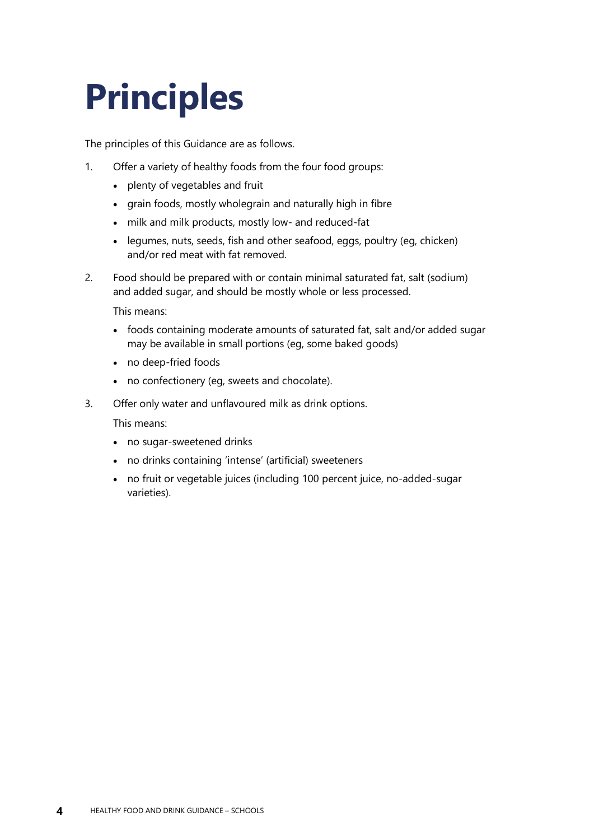# <span id="page-7-0"></span>**Principles**

The principles of this Guidance are as follows.

- 1. Offer a variety of healthy foods from the four food groups:
	- plenty of vegetables and fruit
	- grain foods, mostly wholegrain and naturally high in fibre
	- milk and milk products, mostly low- and reduced-fat
	- legumes, nuts, seeds, fish and other seafood, eggs, poultry (eg, chicken) and/or red meat with fat removed.
- 2. Food should be prepared with or contain minimal saturated fat, salt (sodium) and added sugar, and should be mostly whole or less processed.

This means:

- foods containing moderate amounts of saturated fat, salt and/or added sugar may be available in small portions (eg, some baked goods)
- no deep-fried foods
- no confectionery (eg, sweets and chocolate).
- 3. Offer only water and unflavoured milk as drink options.

This means:

- no sugar-sweetened drinks
- no drinks containing 'intense' (artificial) sweeteners
- no fruit or vegetable juices (including 100 percent juice, no-added-sugar varieties).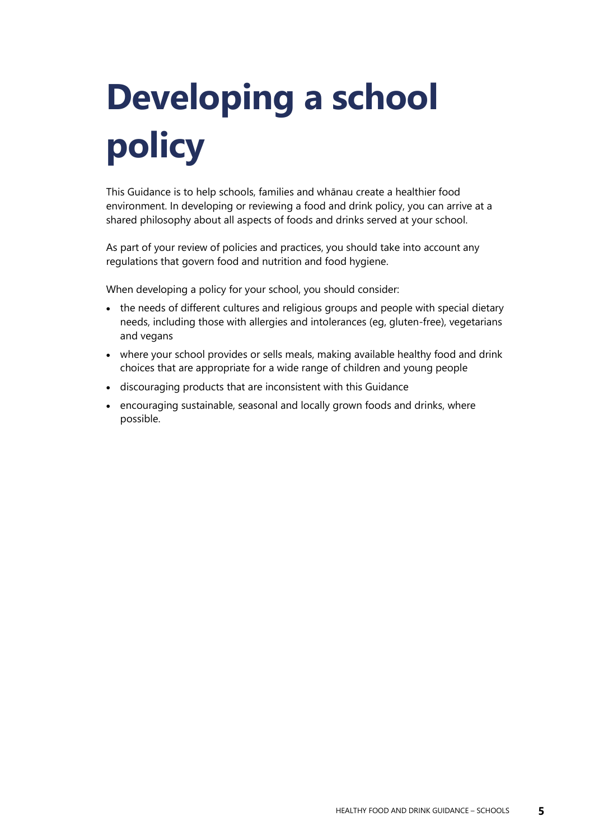# <span id="page-8-0"></span>**Developing a school policy**

This Guidance is to help schools, families and whānau create a healthier food environment. In developing or reviewing a food and drink policy, you can arrive at a shared philosophy about all aspects of foods and drinks served at your school.

As part of your review of policies and practices, you should take into account any regulations that govern food and nutrition and food hygiene.

When developing a policy for your school, you should consider:

- the needs of different cultures and religious groups and people with special dietary needs, including those with allergies and intolerances (eg, gluten-free), vegetarians and vegans
- where your school provides or sells meals, making available healthy food and drink choices that are appropriate for a wide range of children and young people
- discouraging products that are inconsistent with this Guidance
- encouraging sustainable, seasonal and locally grown foods and drinks, where possible.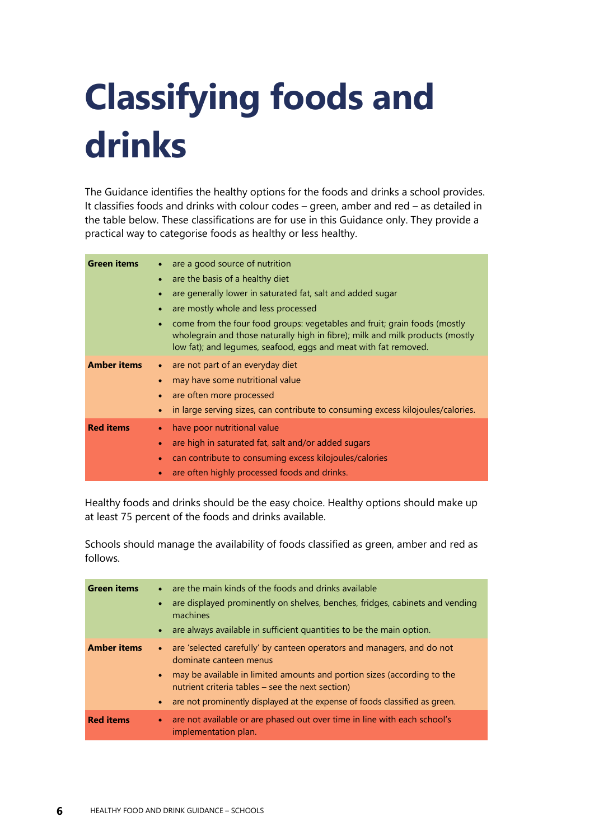# <span id="page-9-1"></span><span id="page-9-0"></span>**Classifying foods and drinks**

The Guidance identifies the healthy options for the foods and drinks a school provides. It classifies foods and drinks with colour codes – green, amber and red – as detailed in the table below. These classifications are for use in this Guidance only. They provide a practical way to categorise foods as healthy or less healthy.

| <b>Green items</b> | are a good source of nutrition<br>are the basis of a healthy diet<br>are generally lower in saturated fat, salt and added sugar<br>are mostly whole and less processed<br>come from the four food groups: vegetables and fruit; grain foods (mostly<br>wholegrain and those naturally high in fibre); milk and milk products (mostly<br>low fat); and legumes, seafood, eggs and meat with fat removed. |
|--------------------|---------------------------------------------------------------------------------------------------------------------------------------------------------------------------------------------------------------------------------------------------------------------------------------------------------------------------------------------------------------------------------------------------------|
| <b>Amber items</b> | are not part of an everyday diet<br>may have some nutritional value<br>are often more processed<br>in large serving sizes, can contribute to consuming excess kilojoules/calories.                                                                                                                                                                                                                      |
| <b>Red items</b>   | have poor nutritional value<br>are high in saturated fat, salt and/or added sugars<br>$\bullet$<br>can contribute to consuming excess kilojoules/calories<br>are often highly processed foods and drinks.                                                                                                                                                                                               |

Healthy foods and drinks should be the easy choice. Healthy options should make up at least 75 percent of the foods and drinks available.

Schools should manage the availability of foods classified as green, amber and red as follows.

| <b>Green items</b> | • are the main kinds of the foods and drinks available<br>are displayed prominently on shelves, benches, fridges, cabinets and vending<br>$\bullet$<br>machines<br>are always available in sufficient quantities to be the main option.<br>$\bullet$                                                                                                   |
|--------------------|--------------------------------------------------------------------------------------------------------------------------------------------------------------------------------------------------------------------------------------------------------------------------------------------------------------------------------------------------------|
| <b>Amber items</b> | are 'selected carefully' by canteen operators and managers, and do not<br>$\bullet$ .<br>dominate canteen menus<br>may be available in limited amounts and portion sizes (according to the<br>$\bullet$<br>nutrient criteria tables – see the next section)<br>are not prominently displayed at the expense of foods classified as green.<br>$\bullet$ |
| <b>Red items</b>   | are not available or are phased out over time in line with each school's<br>$\bullet$<br>implementation plan.                                                                                                                                                                                                                                          |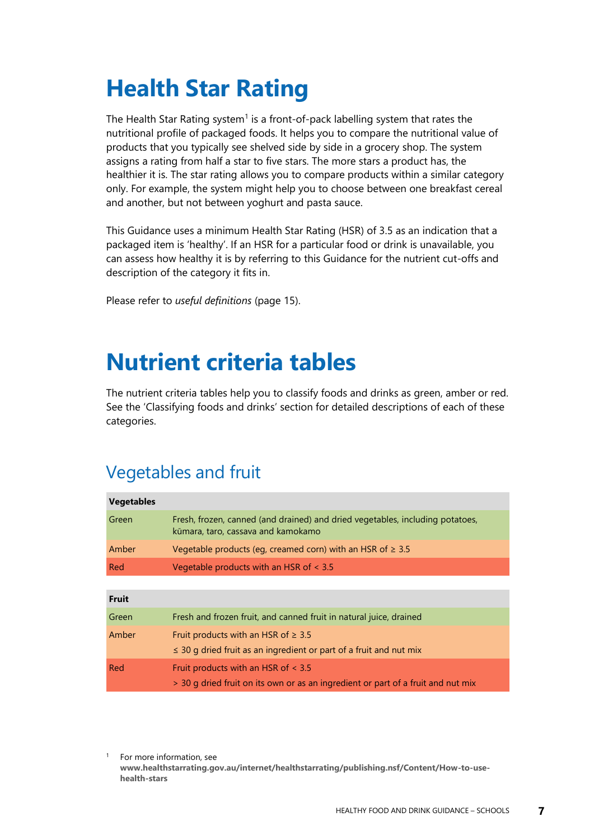## **Health Star Rating**

The Health Star Rating system<sup>1</sup> is a front-of-pack labelling system that rates the nutritional profile of packaged foods. It helps you to compare the nutritional value of products that you typically see shelved side by side in a grocery shop. The system assigns a rating from half a star to five stars. The more stars a product has, the healthier it is. The star rating allows you to compare products within a similar category only. For example, the system might help you to choose between one breakfast cereal and another, but not between yoghurt and pasta sauce.

This Guidance uses a minimum Health Star Rating (HSR) of 3.5 as an indication that a packaged item is 'healthy'. If an HSR for a particular food or drink is unavailable, you can assess how healthy it is by referring to this Guidance for the nutrient cut-offs and description of the category it fits in.

<span id="page-10-0"></span>Please refer to *useful definitions* (page [15\)](#page-18-1).

## **Nutrient criteria tables**

The nutrient criteria tables help you to classify foods and drinks as green, amber or red. See the 'Classifying foods and drinks' section for detailed descriptions of each of these categories.

### Vegetables and fruit

| <b>Vegetables</b> |                                                                                                                              |
|-------------------|------------------------------------------------------------------------------------------------------------------------------|
| Green             | Fresh, frozen, canned (and drained) and dried vegetables, including potatoes,<br>kūmara, taro, cassava and kamokamo          |
| Amber             | Vegetable products (eq, creamed corn) with an HSR of $\geq 3.5$                                                              |
| Red               | Vegetable products with an HSR of $\leq$ 3.5                                                                                 |
|                   |                                                                                                                              |
| <b>Fruit</b>      |                                                                                                                              |
| Green             | Fresh and frozen fruit, and canned fruit in natural juice, drained                                                           |
| Amber             | Fruit products with an HSR of $\geq 3.5$                                                                                     |
|                   | $\leq$ 30 g dried fruit as an ingredient or part of a fruit and nut mix                                                      |
| Red               | Fruit products with an HSR of $\leq$ 3.5<br>> 30 g dried fruit on its own or as an ingredient or part of a fruit and nut mix |

<sup>1</sup> For more information, see **[www.healthstarrating.gov.au/internet/healthstarrating/publishing.nsf/Content/How-to-use](http://www.healthstarrating.gov.au/internet/healthstarrating/publishing.nsf/Content/How-to-use-health-stars)[health-stars](http://www.healthstarrating.gov.au/internet/healthstarrating/publishing.nsf/Content/How-to-use-health-stars)**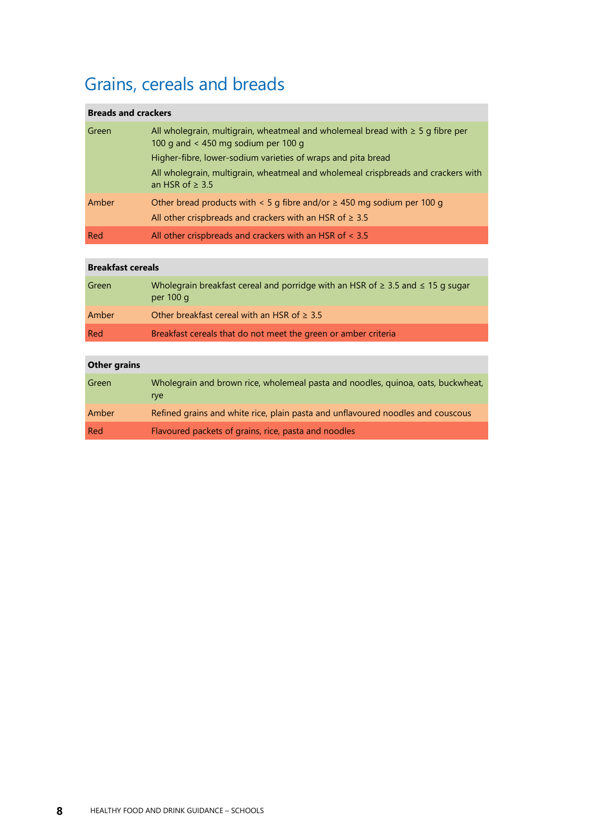## Grains, cereals and breads

| <b>Breads and crackers</b> |                                                                                                                              |
|----------------------------|------------------------------------------------------------------------------------------------------------------------------|
| Green                      | All wholegrain, multigrain, wheatmeal and wholemeal bread with $\geq 5$ g fibre per<br>100 g and $<$ 450 mg sodium per 100 g |
|                            | Higher-fibre, lower-sodium varieties of wraps and pita bread                                                                 |
|                            | All wholegrain, multigrain, wheatmeal and wholemeal crispbreads and crackers with<br>an HSR of $\geq$ 3.5                    |
| Amber                      | Other bread products with $\leq 5$ g fibre and/or $\geq 450$ mg sodium per 100 g                                             |
|                            | All other crispbreads and crackers with an HSR of $\geq 3.5$                                                                 |
| Red                        | All other crispbreads and crackers with an HSR of $<$ 3.5                                                                    |

| <b>Breakfast cereals</b> |                                                                                                        |  |
|--------------------------|--------------------------------------------------------------------------------------------------------|--|
| Green                    | Wholegrain breakfast cereal and porridge with an HSR of $\geq$ 3.5 and $\leq$ 15 g sugar<br>per $100q$ |  |
| Amber                    | Other breakfast cereal with an HSR of $\geq 3.5$                                                       |  |
| Red                      | Breakfast cereals that do not meet the green or amber criteria                                         |  |

| <b>Other grains</b> |                                                                                                |
|---------------------|------------------------------------------------------------------------------------------------|
| Green               | Wholegrain and brown rice, wholemeal pasta and noodles, quinoa, oats, buckwheat,<br><i>rve</i> |
| Amber               | Refined grains and white rice, plain pasta and unflavoured noodles and couscous                |
| Red                 | Flavoured packets of grains, rice, pasta and noodles                                           |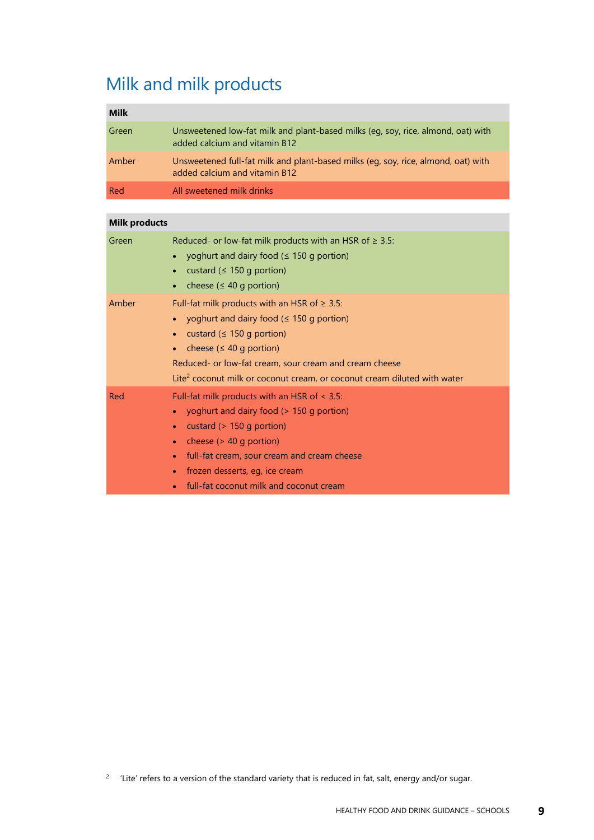## Milk and milk products

| <b>Milk</b> |                                                                                                                    |
|-------------|--------------------------------------------------------------------------------------------------------------------|
| Green       | Unsweetened low-fat milk and plant-based milks (eq, soy, rice, almond, oat) with<br>added calcium and vitamin B12  |
| Amber       | Unsweetened full-fat milk and plant-based milks (eq, soy, rice, almond, oat) with<br>added calcium and vitamin B12 |
| Red         | All sweetened milk drinks                                                                                          |

| <b>Milk products</b> |                                                                                                                                                                                                                                                                                                                                  |
|----------------------|----------------------------------------------------------------------------------------------------------------------------------------------------------------------------------------------------------------------------------------------------------------------------------------------------------------------------------|
| Green                | Reduced- or low-fat milk products with an HSR of $\geq$ 3.5:<br>yoghurt and dairy food $( \leq 150$ g portion)<br>custard ( $\leq 150$ g portion)<br>cheese ( $\leq 40$ g portion)                                                                                                                                               |
| Amber                | Full-fat milk products with an HSR of $\geq$ 3.5:<br>yoghurt and dairy food $($ $\leq$ 150 g portion)<br>custard ( $\leq$ 150 g portion)<br>cheese ( $\leq 40$ g portion)<br>Reduced- or low-fat cream, sour cream and cream cheese<br>Lite <sup>2</sup> coconut milk or coconut cream, or coconut cream diluted with water      |
| Red                  | Full-fat milk products with an HSR of $\leq$ 3.5:<br>yoghurt and dairy food (> 150 g portion)<br>custard (> 150 g portion)<br>$\bullet$<br>cheese $($ > 40 g portion)<br>۰<br>full-fat cream, sour cream and cream cheese<br>$\bullet$<br>frozen desserts, eg, ice cream<br>$\bullet$<br>full-fat coconut milk and coconut cream |

 $2$  Lite' refers to a version of the standard variety that is reduced in fat, salt, energy and/or sugar.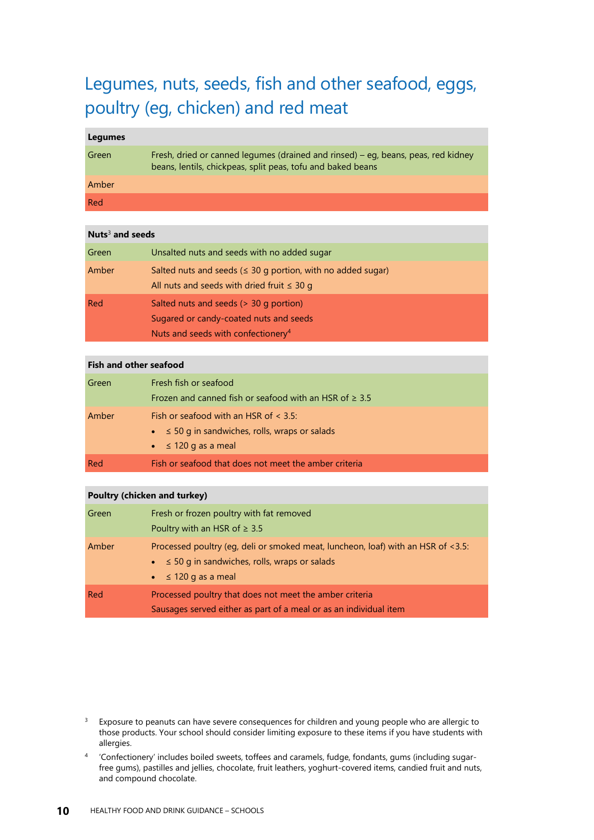### Legumes, nuts, seeds, fish and other seafood, eggs, poultry (eg, chicken) and red meat

#### **Legumes**

| Green | Fresh, dried or canned legumes (drained and rinsed) – eg, beans, peas, red kidney<br>beans, lentils, chickpeas, split peas, tofu and baked beans |
|-------|--------------------------------------------------------------------------------------------------------------------------------------------------|
| Amber |                                                                                                                                                  |
| Red   |                                                                                                                                                  |

#### **Nuts**<sup>3</sup> **and seeds**

| Green | Unsalted nuts and seeds with no added sugar                                                                                        |
|-------|------------------------------------------------------------------------------------------------------------------------------------|
| Amber | Salted nuts and seeds ( $\leq$ 30 g portion, with no added sugar)<br>All nuts and seeds with dried fruit $\leq 30$ g               |
| Red   | Salted nuts and seeds (> 30 g portion)<br>Sugared or candy-coated nuts and seeds<br>Nuts and seeds with confectionery <sup>4</sup> |

#### **Fish and other seafood** Green Fresh fish or seafood Frozen and canned fish or seafood with an HSR of  $\geq 3.5$ Amber Fish or seafood with an HSR of  $<$  3.5: • ≤ 50 g in sandwiches, rolls, wraps or salads  $\bullet$   $\leq$  120 g as a meal Red Fish or seafood that does not meet the amber criteria

#### **Poultry (chicken and turkey)**

| Green | Fresh or frozen poultry with fat removed<br>Poultry with an HSR of $\geq$ 3.5                                                                                                     |
|-------|-----------------------------------------------------------------------------------------------------------------------------------------------------------------------------------|
| Amber | Processed poultry (eq, deli or smoked meat, luncheon, loaf) with an HSR of <3.5:<br>$\bullet \leq 50$ g in sandwiches, rolls, wraps or salads<br>$\bullet$ $\leq$ 120 g as a meal |
| Red   | Processed poultry that does not meet the amber criteria<br>Sausages served either as part of a meal or as an individual item                                                      |

 $3$  Exposure to peanuts can have severe consequences for children and young people who are allergic to those products. Your school should consider limiting exposure to these items if you have students with allergies.

<sup>4</sup> 'Confectionery' includes boiled sweets, toffees and caramels, fudge, fondants, gums (including sugarfree gums), pastilles and jellies, chocolate, fruit leathers, yoghurt-covered items, candied fruit and nuts, and compound chocolate.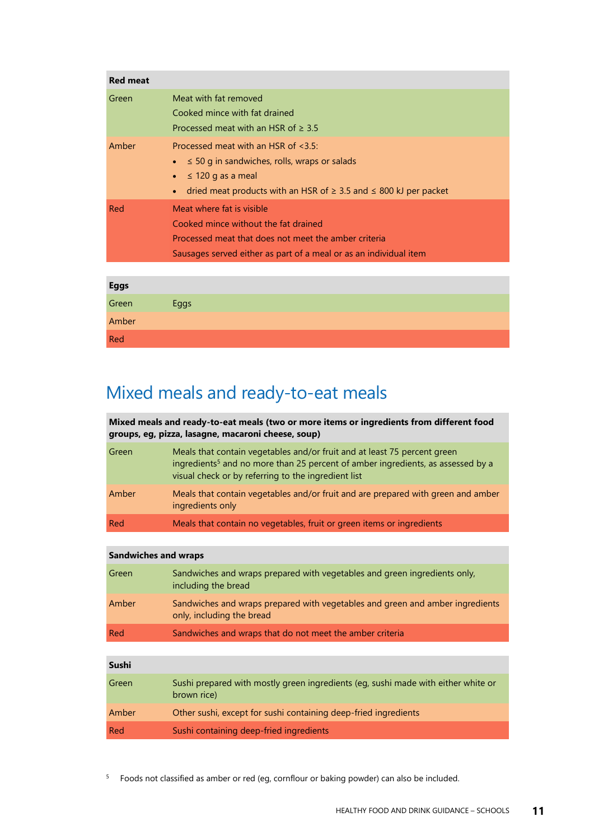| <b>Red meat</b> |                                                                                                                                                                                                                     |
|-----------------|---------------------------------------------------------------------------------------------------------------------------------------------------------------------------------------------------------------------|
| Green           | Meat with fat removed<br>Cooked mince with fat drained<br>Processed meat with an HSR of $\geq 3.5$                                                                                                                  |
| Amber           | Processed meat with an HSR of $\leq$ 3.5:<br>$\leq$ 50 g in sandwiches, rolls, wraps or salads<br>$\leq$ 120 g as a meal<br>$\bullet$<br>dried meat products with an HSR of $\geq$ 3.5 and $\leq$ 800 kJ per packet |
| Red             | Meat where fat is visible<br>Cooked mince without the fat drained<br>Processed meat that does not meet the amber criteria<br>Sausages served either as part of a meal or as an individual item                      |
|                 |                                                                                                                                                                                                                     |
| Eggs            |                                                                                                                                                                                                                     |

| ーンンー  |      |
|-------|------|
| Green | Eggs |
| Amber |      |
| Red   |      |

### Mixed meals and ready-to-eat meals

**Mixed meals and ready-to-eat meals (two or more items or ingredients from different food groups, eg, pizza, lasagne, macaroni cheese, soup)**

| Green | Meals that contain vegetables and/or fruit and at least 75 percent green<br>ingredients <sup>5</sup> and no more than 25 percent of amber ingredients, as assessed by a<br>visual check or by referring to the ingredient list |
|-------|--------------------------------------------------------------------------------------------------------------------------------------------------------------------------------------------------------------------------------|
| Amber | Meals that contain vegetables and/or fruit and are prepared with green and amber<br>ingredients only                                                                                                                           |
| Red   | Meals that contain no vegetables, fruit or green items or ingredients                                                                                                                                                          |

#### **Sandwiches and wraps**

| Green | Sandwiches and wraps prepared with vegetables and green ingredients only,<br>including the bread           |
|-------|------------------------------------------------------------------------------------------------------------|
| Amber | Sandwiches and wraps prepared with vegetables and green and amber ingredients<br>only, including the bread |
| Red   | Sandwiches and wraps that do not meet the amber criteria                                                   |

| Sushi |                                                                                                  |
|-------|--------------------------------------------------------------------------------------------------|
| Green | Sushi prepared with mostly green ingredients (eg, sushi made with either white or<br>brown rice) |
| Amber | Other sushi, except for sushi containing deep-fried ingredients                                  |
| Red   | Sushi containing deep-fried ingredients                                                          |

<sup>5</sup> Foods not classified as amber or red (eg, cornflour or baking powder) can also be included.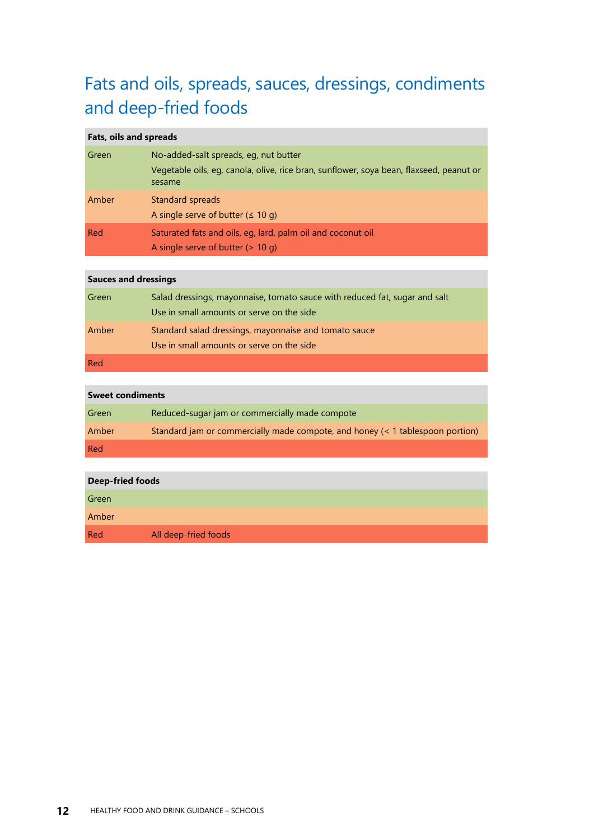## Fats and oils, spreads, sauces, dressings, condiments and deep-fried foods

#### **Fats, oils and spreads**

| Green | No-added-salt spreads, eq, nut butter<br>Vegetable oils, eg, canola, olive, rice bran, sunflower, soya bean, flaxseed, peanut or<br>sesame |
|-------|--------------------------------------------------------------------------------------------------------------------------------------------|
| Amber | Standard spreads<br>A single serve of butter $( \leq 10 \text{ g})$                                                                        |
| Red   | Saturated fats and oils, eq, lard, palm oil and coconut oil<br>A single serve of butter $(> 10 q)$                                         |

#### **Sauces and dressings**

| Green | Salad dressings, mayonnaise, tomato sauce with reduced fat, sugar and salt<br>Use in small amounts or serve on the side |
|-------|-------------------------------------------------------------------------------------------------------------------------|
| Amber | Standard salad dressings, mayonnaise and tomato sauce<br>Use in small amounts or serve on the side                      |
| Red   |                                                                                                                         |

#### **Sweet condiments**

| Green | Reduced-sugar jam or commercially made compote                                |
|-------|-------------------------------------------------------------------------------|
| Amber | Standard jam or commercially made compote, and honey (< 1 tablespoon portion) |
| Red   |                                                                               |

| <b>Deep-fried foods</b> |                      |
|-------------------------|----------------------|
| Green                   |                      |
| Amber                   |                      |
| Red                     | All deep-fried foods |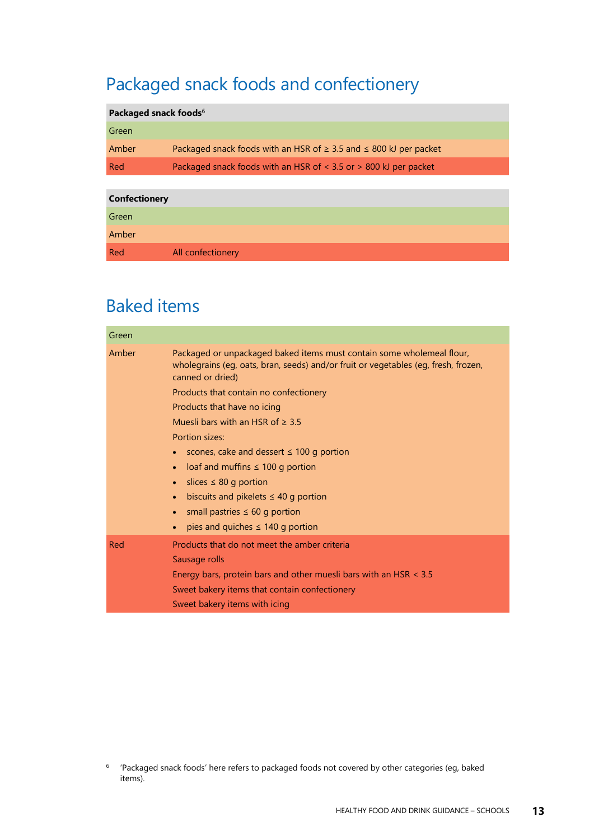## Packaged snack foods and confectionery

#### **Packaged snack foods**<sup>6</sup>

| Green |                                                                             |
|-------|-----------------------------------------------------------------------------|
| Amber | Packaged snack foods with an HSR of $\geq$ 3.5 and $\leq$ 800 kJ per packet |
| Red   | Packaged snack foods with an HSR of $\lt$ 3.5 or $>$ 800 kJ per packet      |
|       |                                                                             |

| <b>Confectionery</b> |                   |
|----------------------|-------------------|
| Green                |                   |
| Amber                |                   |
| Red                  | All confectionery |

### Baked items

| Green |                                                                                                                                                                                                                                                                                                                                                                                                                                                                                                                                                                                                             |
|-------|-------------------------------------------------------------------------------------------------------------------------------------------------------------------------------------------------------------------------------------------------------------------------------------------------------------------------------------------------------------------------------------------------------------------------------------------------------------------------------------------------------------------------------------------------------------------------------------------------------------|
| Amber | Packaged or unpackaged baked items must contain some wholemeal flour,<br>wholegrains (eg, oats, bran, seeds) and/or fruit or vegetables (eg, fresh, frozen,<br>canned or dried)<br>Products that contain no confectionery<br>Products that have no icing<br>Muesli bars with an HSR of $>$ 3.5<br>Portion sizes:<br>scones, cake and dessert $\leq$ 100 g portion<br>loaf and muffins $\leq 100$ g portion<br>slices $\leq 80$ g portion<br>$\bullet$<br>biscuits and pikelets $\leq$ 40 g portion<br>$\bullet$<br>small pastries $\leq 60$ g portion<br>$\bullet$<br>pies and quiches $\leq$ 140 g portion |
| Red   | Products that do not meet the amber criteria<br>Sausage rolls<br>Energy bars, protein bars and other muesli bars with an HSR $\leq$ 3.5<br>Sweet bakery items that contain confectionery<br>Sweet bakery items with icing                                                                                                                                                                                                                                                                                                                                                                                   |

<sup>&</sup>lt;sup>6</sup> Packaged snack foods' here refers to packaged foods not covered by other categories (eq, baked items).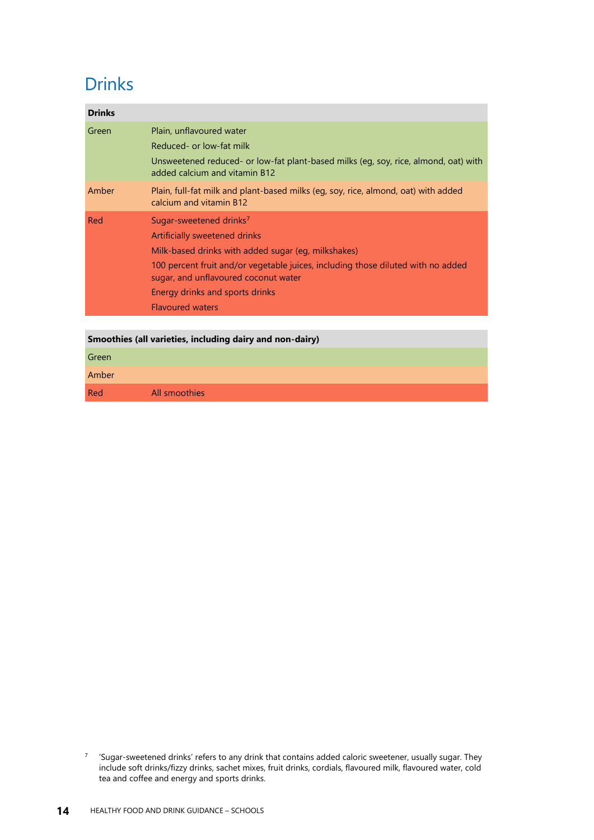### **Drinks**

| Unsweetened reduced- or low-fat plant-based milks (eq, soy, rice, almond, oat) with |
|-------------------------------------------------------------------------------------|
| Plain, full-fat milk and plant-based milks (eq, soy, rice, almond, oat) with added  |
|                                                                                     |
|                                                                                     |
|                                                                                     |
| 100 percent fruit and/or vegetable juices, including those diluted with no added    |
|                                                                                     |
|                                                                                     |
|                                                                                     |

#### **Smoothies (all varieties, including dairy and non-dairy)**

Green

Amber

Red All smoothies

<sup>7</sup> 'Sugar-sweetened drinks' refers to any drink that contains added caloric sweetener, usually sugar. They include soft drinks/fizzy drinks, sachet mixes, fruit drinks, cordials, flavoured milk, flavoured water, cold tea and coffee and energy and sports drinks.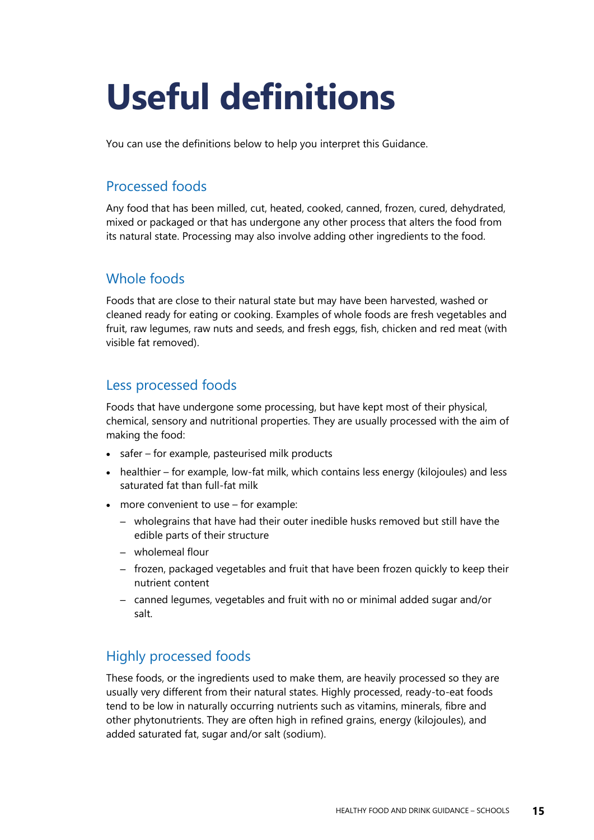# <span id="page-18-1"></span><span id="page-18-0"></span>**Useful definitions**

You can use the definitions below to help you interpret this Guidance.

#### Processed foods

Any food that has been milled, cut, heated, cooked, canned, frozen, cured, dehydrated, mixed or packaged or that has undergone any other process that alters the food from its natural state. Processing may also involve adding other ingredients to the food.

#### Whole foods

Foods that are close to their natural state but may have been harvested, washed or cleaned ready for eating or cooking. Examples of whole foods are fresh vegetables and fruit, raw legumes, raw nuts and seeds, and fresh eggs, fish, chicken and red meat (with visible fat removed).

#### Less processed foods

Foods that have undergone some processing, but have kept most of their physical, chemical, sensory and nutritional properties. They are usually processed with the aim of making the food:

- safer for example, pasteurised milk products
- healthier for example, low-fat milk, which contains less energy (kilojoules) and less saturated fat than full-fat milk
- more convenient to use for example:
	- wholegrains that have had their outer inedible husks removed but still have the edible parts of their structure
	- wholemeal flour
	- frozen, packaged vegetables and fruit that have been frozen quickly to keep their nutrient content
	- canned legumes, vegetables and fruit with no or minimal added sugar and/or salt.

#### Highly processed foods

These foods, or the ingredients used to make them, are heavily processed so they are usually very different from their natural states. Highly processed, ready-to-eat foods tend to be low in naturally occurring nutrients such as vitamins, minerals, fibre and other phytonutrients. They are often high in refined grains, energy (kilojoules), and added saturated fat, sugar and/or salt (sodium).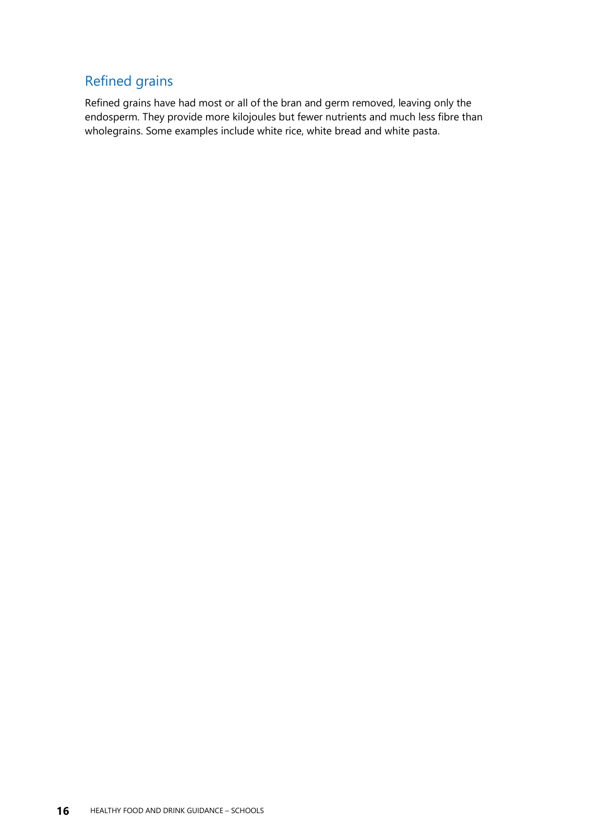#### Refined grains

Refined grains have had most or all of the bran and germ removed, leaving only the endosperm. They provide more kilojoules but fewer nutrients and much less fibre than wholegrains. Some examples include white rice, white bread and white pasta.